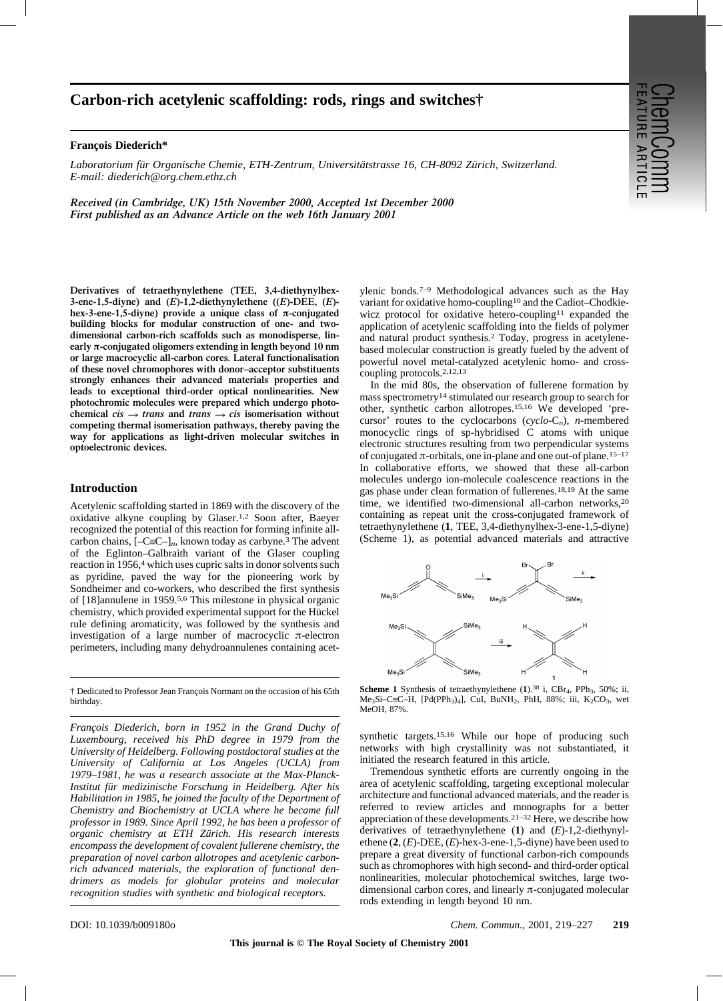# **Carbon-rich acetylenic scaffolding: rods, rings and switches†**

#### **François Diederich\***

*Laboratorium für Organische Chemie, ETH-Zentrum, Universitätstrasse 16, CH-8092 Zürich, Switzerland. E-mail: diederich@org.chem.ethz.ch*

*Received (in Cambridge, UK) 15th November 2000, Accepted 1st December 2000 First published as an Advance Article on the web 16th January 2001*

**Derivatives of tetraethynylethene (TEE, 3,4-diethynylhex-3-ene-1,5-diyne)** and  $(E)$ -1,2-diethynylethene  $((E)$ -DEE,  $(E)$ hex-3-ene-1,5-diyne) provide a unique class of  $\pi$ -conjugated **building blocks for modular construction of one- and twodimensional carbon-rich scaffolds such as monodisperse, linearly** p**-conjugated oligomers extending in length beyond 10 nm or large macrocyclic all-carbon cores. Lateral functionalisation of these novel chromophores with donor–acceptor substituents strongly enhances their advanced materials properties and leads to exceptional third-order optical nonlinearities. New photochromic molecules were prepared which undergo photo**chemical  $cis \rightarrow trans$  and  $trans \rightarrow cis$  isomerisation without **competing thermal isomerisation pathways, thereby paving the way for applications as light-driven molecular switches in optoelectronic devices.**

## **Introduction**

Acetylenic scaffolding started in 1869 with the discovery of the oxidative alkyne coupling by Glaser.1,2 Soon after, Baeyer recognized the potential of this reaction for forming infinite allcarbon chains,  $[-C\equiv C-]_n$ , known today as carbyne.<sup>3</sup> The advent of the Eglinton–Galbraith variant of the Glaser coupling reaction in 1956,4 which uses cupric salts in donor solvents such as pyridine, paved the way for the pioneering work by Sondheimer and co-workers, who described the first synthesis of [18]annulene in 1959.5,6 This milestone in physical organic chemistry, which provided experimental support for the Hückel rule defining aromaticity, was followed by the synthesis and investigation of a large number of macrocyclic  $\pi$ -electron perimeters, including many dehydroannulenes containing acet-

† Dedicated to Professor Jean François Normant on the occasion of his 65th birthday.

*François Diederich, born in 1952 in the Grand Duchy of Luxembourg, received his PhD degree in 1979 from the University of Heidelberg. Following postdoctoral studies at the University of California at Los Angeles (UCLA) from 1979–1981, he was a research associate at the Max-Planck-Institut f¨ur medizinische Forschung in Heidelberg. After his Habilitation in 1985, he joined the faculty of the Department of Chemistry and Biochemistry at UCLA where he became full professor in 1989. Since April 1992, he has been a professor of organic chemistry at ETH Z¨urich. His research interests encompass the development of covalent fullerene chemistry, the preparation of novel carbon allotropes and acetylenic carbonrich advanced materials, the exploration of functional dendrimers as models for globular proteins and molecular recognition studies with synthetic and biological receptors.*

ylenic bonds.7–9 Methodological advances such as the Hay variant for oxidative homo-coupling10 and the Cadiot–Chodkiewicz protocol for oxidative hetero-coupling<sup>11</sup> expanded the application of acetylenic scaffolding into the fields of polymer and natural product synthesis.2 Today, progress in acetylenebased molecular construction is greatly fueled by the advent of powerful novel metal-catalyzed acetylenic homo- and crosscoupling protocols.2,12,13

In the mid 80s, the observation of fullerene formation by mass spectrometry14 stimulated our research group to search for other, synthetic carbon allotropes.15,16 We developed 'precursor' routes to the cyclocarbons (*cyclo*-C*n*), *n*-membered monocyclic rings of sp-hybridised C atoms with unique electronic structures resulting from two perpendicular systems of conjugated  $\pi$ -orbitals, one in-plane and one out-of plane.<sup>15–17</sup> In collaborative efforts, we showed that these all-carbon molecules undergo ion-molecule coalescence reactions in the gas phase under clean formation of fullerenes.18,19 At the same time, we identified two-dimensional all-carbon networks,20 containing as repeat unit the cross-conjugated framework of tetraethynylethene (**1**, TEE, 3,4-diethynylhex-3-ene-1,5-diyne) (Scheme 1), as potential advanced materials and attractive



Scheme 1 Synthesis of tetraethynylethene (1).<sup>38</sup> i, CBr<sub>4</sub>, PPh<sub>3</sub>, 50%; ii, Me<sub>3</sub>Si–C $\equiv$ C $-H$ , [Pd(PPh<sub>3</sub>)<sub>4</sub>], CuI, BuNH<sub>2</sub>, PhH, 88%; iii, K<sub>2</sub>CO<sub>3</sub>, wet MeOH, 87%.

synthetic targets.15,16 While our hope of producing such networks with high crystallinity was not substantiated, it initiated the research featured in this article.

Tremendous synthetic efforts are currently ongoing in the area of acetylenic scaffolding, targeting exceptional molecular architecture and functional advanced materials, and the reader is referred to review articles and monographs for a better appreciation of these developments.21–32 Here, we describe how derivatives of tetraethynylethene (**1**) and (*E*)-1,2-diethynylethene (**2**, (*E*)-DEE, (*E*)-hex-3-ene-1,5-diyne) have been used to prepare a great diversity of functional carbon-rich compounds such as chromophores with high second- and third-order optical nonlinearities, molecular photochemical switches, large twodimensional carbon cores, and linearly  $\pi$ -conjugated molecular rods extending in length beyond 10 nm.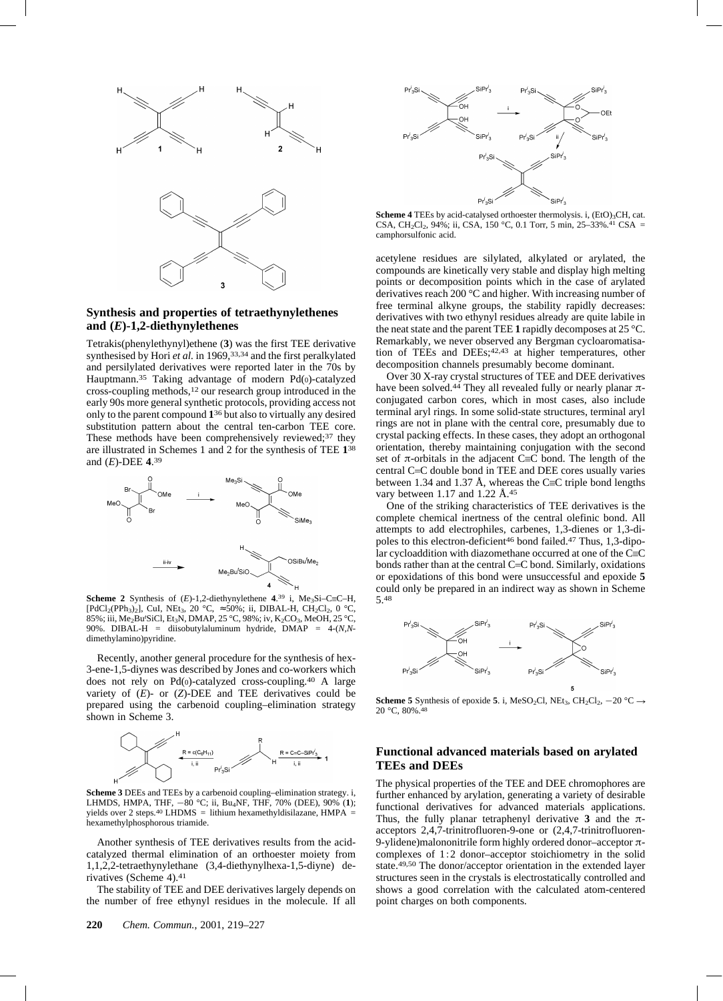

# **Synthesis and properties of tetraethynylethenes and (***E***)-1,2-diethynylethenes**

Tetrakis(phenylethynyl)ethene (**3**) was the first TEE derivative synthesised by Hori *et al.* in 1969,<sup>33,34</sup> and the first peralkylated and persilylated derivatives were reported later in the 70s by Hauptmann.35 Taking advantage of modern Pd(0)-catalyzed cross-coupling methods,12 our research group introduced in the early 90s more general synthetic protocols, providing access not only to the parent compound **1**36 but also to virtually any desired substitution pattern about the central ten-carbon TEE core. These methods have been comprehensively reviewed;<sup>37</sup> they are illustrated in Schemes 1 and 2 for the synthesis of TEE **1**38 and (*E*)-DEE **4**.39



**Scheme 2** Synthesis of  $(E)$ -1,2-diethynylethene  $4.39$  i, Me<sub>3</sub>Si–C=C–H,  $[PdCl<sub>2</sub>(PPh<sub>3</sub>)<sub>2</sub>]$ , CuI, NEt<sub>3</sub>, 20 °C,  $\approx$  50%; ii, DIBAL-H, CH<sub>2</sub>Cl<sub>2</sub>, 0 °C, 85%; iii, Me<sub>2</sub>Bu'SiCl, Et<sub>3</sub>N, DMAP, 25 °C, 98%; iv, K<sub>2</sub>CO<sub>3</sub>, MeOH, 25 °C, 90%. DIBAL-H = diisobutylaluminum hydride, DMAP = 4-(*N,N*dimethylamino)pyridine.

Recently, another general procedure for the synthesis of hex-3-ene-1,5-diynes was described by Jones and co-workers which does not rely on Pd(0)-catalyzed cross-coupling.40 A large variety of (*E*)- or (*Z*)-DEE and TEE derivatives could be prepared using the carbenoid coupling–elimination strategy shown in Scheme 3.



**Scheme 3** DEEs and TEEs by a carbenoid coupling–elimination strategy. i, LHMDS, HMPA, THF, 280 °C; ii, Bu4NF, THF, 70% (DEE), 90% (**1**); yields over 2 steps.<sup>40</sup> LHDMS = lithium hexamethyldisilazane, HMPA = hexamethylphosphorous triamide.

Another synthesis of TEE derivatives results from the acidcatalyzed thermal elimination of an orthoester moiety from 1,1,2,2-tetraethynylethane (3,4-diethynylhexa-1,5-diyne) derivatives (Scheme 4).41

The stability of TEE and DEE derivatives largely depends on the number of free ethynyl residues in the molecule. If all



Scheme 4 TEEs by acid-catalysed orthoester thermolysis. i, (EtO)<sub>3</sub>CH, cat. CSA, CH<sub>2</sub>Cl<sub>2</sub>, 94%; ii, CSA, 150 °C, 0.1 Torr, 5 min, 25–33%.<sup>41</sup> CSA = camphorsulfonic acid.

acetylene residues are silylated, alkylated or arylated, the compounds are kinetically very stable and display high melting points or decomposition points which in the case of arylated derivatives reach 200 °C and higher. With increasing number of free terminal alkyne groups, the stability rapidly decreases: derivatives with two ethynyl residues already are quite labile in the neat state and the parent TEE **1** rapidly decomposes at 25 °C. Remarkably, we never observed any Bergman cycloaromatisation of TEEs and DEEs;<sup>42,43</sup> at higher temperatures, other decomposition channels presumably become dominant.

Over 30 X-ray crystal structures of TEE and DEE derivatives have been solved.<sup>44</sup> They all revealed fully or nearly planar  $\pi$ conjugated carbon cores, which in most cases, also include terminal aryl rings. In some solid-state structures, terminal aryl rings are not in plane with the central core, presumably due to crystal packing effects. In these cases, they adopt an orthogonal orientation, thereby maintaining conjugation with the second set of  $\pi$ -orbitals in the adjacent C $\equiv$ C bond. The length of the central C=C double bond in TEE and DEE cores usually varies between 1.34 and 1.37 Å, whereas the C $\equiv$ C triple bond lengths vary between 1.17 and 1.22 Å.45

One of the striking characteristics of TEE derivatives is the complete chemical inertness of the central olefinic bond. All attempts to add electrophiles, carbenes, 1,3-dienes or 1,3-dipoles to this electron-deficient46 bond failed.47 Thus, 1,3-dipolar cycloaddition with diazomethane occurred at one of the  $C=$ bonds rather than at the central C=C bond. Similarly, oxidations or epoxidations of this bond were unsuccessful and epoxide **5** could only be prepared in an indirect way as shown in Scheme 5.48



**Scheme 5** Synthesis of epoxide 5. i, MeSO<sub>2</sub>Cl, NEt<sub>3</sub>, CH<sub>2</sub>Cl<sub>2</sub>, -20 °C  $\rightarrow$ 20 °C, 80%.48

# **Functional advanced materials based on arylated TEEs and DEEs**

The physical properties of the TEE and DEE chromophores are further enhanced by arylation, generating a variety of desirable functional derivatives for advanced materials applications. Thus, the fully planar tetraphenyl derivative 3 and the  $\pi$ acceptors 2,4,7-trinitrofluoren-9-one or (2,4,7-trinitrofluoren-9-ylidene)malononitrile form highly ordered donor-acceptor  $\pi$ complexes of 1:2 donor–acceptor stoichiometry in the solid state.49,50 The donor/acceptor orientation in the extended layer structures seen in the crystals is electrostatically controlled and shows a good correlation with the calculated atom-centered point charges on both components.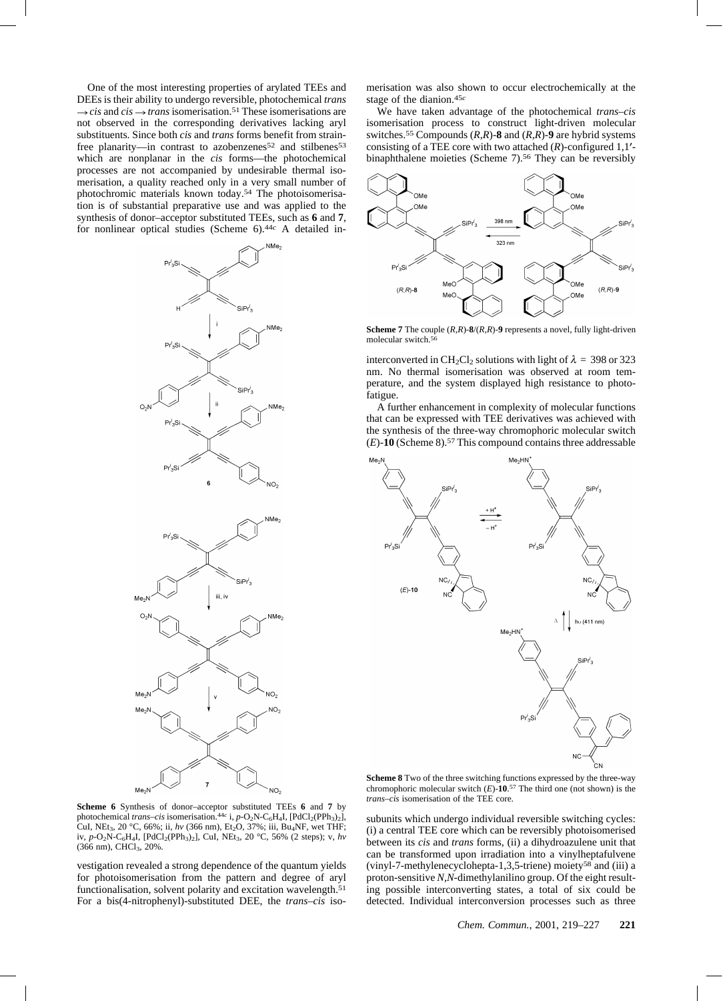One of the most interesting properties of arylated TEEs and DEEs is their ability to undergo reversible, photochemical *trans*  $\rightarrow$  *cis* and *cis*  $\rightarrow$  *trans* isomerisation.<sup>51</sup> These isomerisations are not observed in the corresponding derivatives lacking aryl substituents. Since both *cis* and *trans* forms benefit from strainfree planarity—in contrast to azobenzenes<sup>52</sup> and stilbenes<sup>53</sup> which are nonplanar in the *cis* forms—the photochemical processes are not accompanied by undesirable thermal isomerisation, a quality reached only in a very small number of photochromic materials known today.54 The photoisomerisation is of substantial preparative use and was applied to the synthesis of donor–acceptor substituted TEEs, such as **6** and **7**, for nonlinear optical studies (Scheme 6).44*c* A detailed in-





merisation was also shown to occur electrochemically at the stage of the dianion.45*c*

We have taken advantage of the photochemical *trans–cis* isomerisation process to construct light-driven molecular switches.55 Compounds (*R,R*)-**8** and (*R,R*)-**9** are hybrid systems consisting of a TEE core with two attached  $(R)$ -configured 1,1'binaphthalene moieties (Scheme 7).<sup>56</sup> They can be reversibly



**Scheme 7** The couple (*R,R*)-**8**/(*R,R*)-**9** represents a novel, fully light-driven molecular switch.<sup>56</sup>

interconverted in CH<sub>2</sub>Cl<sub>2</sub> solutions with light of  $\lambda = 398$  or 323 nm. No thermal isomerisation was observed at room temperature, and the system displayed high resistance to photofatigue.

A further enhancement in complexity of molecular functions that can be expressed with TEE derivatives was achieved with the synthesis of the three-way chromophoric molecular switch (*E*)-**10** (Scheme 8).57 This compound contains three addressable



**Scheme 8** Two of the three switching functions expressed by the three-way chromophoric molecular switch  $(E)$ -10.<sup>57</sup> The third one (not shown) is the *trans–cis* isomerisation of the TEE core.

**Scheme 6** Synthesis of donor–acceptor substituted TEEs **6** and **7** by photochemical *trans–cis* isomerisation.<sup>44*c*</sup> i, *p*-O<sub>2</sub>N-C<sub>6</sub>H<sub>4</sub>I, [PdCl<sub>2</sub>(PPh<sub>3</sub>)<sub>2</sub>], CuI, NEt<sub>3</sub>, 20 °C, 66%; ii, *hv* (366 nm), Et<sub>2</sub>O, 37%; iii, Bu<sub>4</sub>NF, wet THF; iv, *p*-O<sub>2</sub>N-C<sub>6</sub>H<sub>4</sub>I, [PdCl<sub>2</sub>(PPh<sub>3</sub>)<sub>2</sub>], CuI, NEt<sub>3</sub>, 20 °C, 56% (2 steps); v, *hv* (366 nm), CHCl<sub>3</sub>, 20%.

vestigation revealed a strong dependence of the quantum yields for photoisomerisation from the pattern and degree of aryl functionalisation, solvent polarity and excitation wavelength.51 For a bis(4-nitrophenyl)-substituted DEE, the *trans–cis* isosubunits which undergo individual reversible switching cycles: (i) a central TEE core which can be reversibly photoisomerised between its *cis* and *trans* forms, (ii) a dihydroazulene unit that can be transformed upon irradiation into a vinylheptafulvene (vinyl-7-methylenecyclohepta-1,3,5-triene) moiety58 and (iii) a proton-sensitive *N,N*-dimethylanilino group. Of the eight resulting possible interconverting states, a total of six could be detected. Individual interconversion processes such as three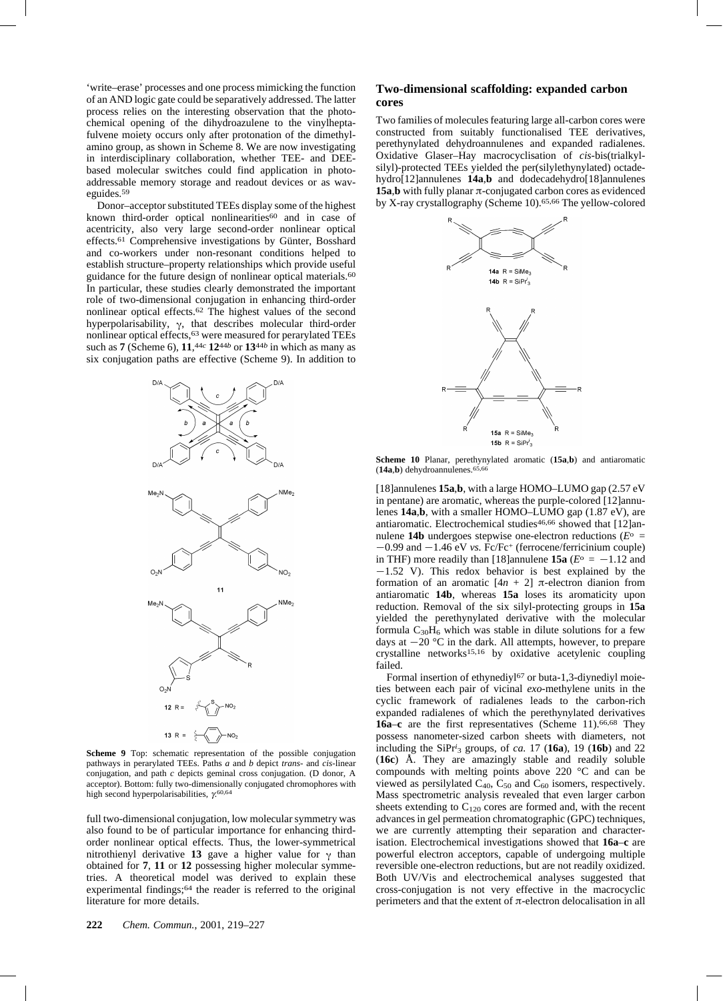'write–erase' processes and one process mimicking the function of an AND logic gate could be separatively addressed. The latter process relies on the interesting observation that the photochemical opening of the dihydroazulene to the vinylheptafulvene moiety occurs only after protonation of the dimethylamino group, as shown in Scheme 8. We are now investigating in interdisciplinary collaboration, whether TEE- and DEEbased molecular switches could find application in photoaddressable memory storage and readout devices or as waveguides.59

Donor–acceptor substituted TEEs display some of the highest known third-order optical nonlinearities<sup>60</sup> and in case of acentricity, also very large second-order nonlinear optical effects.61 Comprehensive investigations by Günter, Bosshard and co-workers under non-resonant conditions helped to establish structure–property relationships which provide useful guidance for the future design of nonlinear optical materials.<sup>60</sup> In particular, these studies clearly demonstrated the important role of two-dimensional conjugation in enhancing third-order nonlinear optical effects.62 The highest values of the second hyperpolarisability,  $\gamma$ , that describes molecular third-order nonlinear optical effects,63 were measured for perarylated TEEs such as **7** (Scheme 6), **11**,44*c* **12**44*b* or **13**44*b* in which as many as six conjugation paths are effective (Scheme 9). In addition to



**Scheme 9** Top: schematic representation of the possible conjugation pathways in perarylated TEEs. Paths *a* and *b* depict *trans-* and *cis*-linear conjugation, and path *c* depicts geminal cross conjugation. (D donor, A acceptor). Bottom: fully two-dimensionally conjugated chromophores with high second hyperpolarisabilities,  $\gamma^{60,64}$ 

full two-dimensional conjugation, low molecular symmetry was also found to be of particular importance for enhancing thirdorder nonlinear optical effects. Thus, the lower-symmetrical nitrothienyl derivative 13 gave a higher value for  $\gamma$  than obtained for **7**, **11** or **12** possessing higher molecular symmetries. A theoretical model was derived to explain these experimental findings;64 the reader is referred to the original literature for more details.

#### **Two-dimensional scaffolding: expanded carbon cores**

Two families of molecules featuring large all-carbon cores were constructed from suitably functionalised TEE derivatives, perethynylated dehydroannulenes and expanded radialenes. Oxidative Glaser–Hay macrocyclisation of *cis*-bis(trialkylsilyl)-protected TEEs yielded the per(silylethynylated) octadehydro[12]annulenes **14a**,**b** and dodecadehydro[18]annulenes **15a,b** with fully planar  $\pi$ -conjugated carbon cores as evidenced by X-ray crystallography (Scheme 10).65,66 The yellow-colored



**Scheme 10** Planar, perethynylated aromatic (**15a**,**b**) and antiaromatic (**14a**,**b**) dehydroannulenes.65,66

[18]annulenes **15a**,**b**, with a large HOMO–LUMO gap (2.57 eV in pentane) are aromatic, whereas the purple-colored [12]annulenes **14a**,**b**, with a smaller HOMO–LUMO gap (1.87 eV), are antiaromatic. Electrochemical studies<sup>46,66</sup> showed that [12]annulene **14b** undergoes stepwise one-electron reductions ( $E^{\circ}$  =  $-0.99$  and  $-1.46$  eV *vs.* Fc/Fc<sup>+</sup> (ferrocene/ferricinium couple) in THF) more readily than [18]annulene **15a** ( $E^{\circ} = -1.12$  and  $-1.52$  V). This redox behavior is best explained by the formation of an aromatic  $[4n + 2]$   $\pi$ -electron dianion from antiaromatic **14b**, whereas **15a** loses its aromaticity upon reduction. Removal of the six silyl-protecting groups in **15a** yielded the perethynylated derivative with the molecular formula  $C_{30}H_6$  which was stable in dilute solutions for a few days at  $-20$  °C in the dark. All attempts, however, to prepare crystalline networks15,16 by oxidative acetylenic coupling failed.

Formal insertion of ethynediyl $67$  or buta-1,3-diynediyl moieties between each pair of vicinal *exo*-methylene units in the cyclic framework of radialenes leads to the carbon-rich expanded radialenes of which the perethynylated derivatives **16a**–**c** are the first representatives (Scheme 11).66,68 They possess nanometer-sized carbon sheets with diameters, not including the SiPr*i* <sup>3</sup> groups, of *ca.* 17 (**16a**), 19 (**16b**) and 22 (**16c**) Å. They are amazingly stable and readily soluble compounds with melting points above 220 °C and can be viewed as persilylated  $C_{40}$ ,  $C_{50}$  and  $C_{60}$  isomers, respectively. Mass spectrometric analysis revealed that even larger carbon sheets extending to  $C_{120}$  cores are formed and, with the recent advances in gel permeation chromatographic (GPC) techniques, we are currently attempting their separation and characterisation. Electrochemical investigations showed that **16a**–**c** are powerful electron acceptors, capable of undergoing multiple reversible one-electron reductions, but are not readily oxidized. Both UV/Vis and electrochemical analyses suggested that cross-conjugation is not very effective in the macrocyclic perimeters and that the extent of  $\pi$ -electron delocalisation in all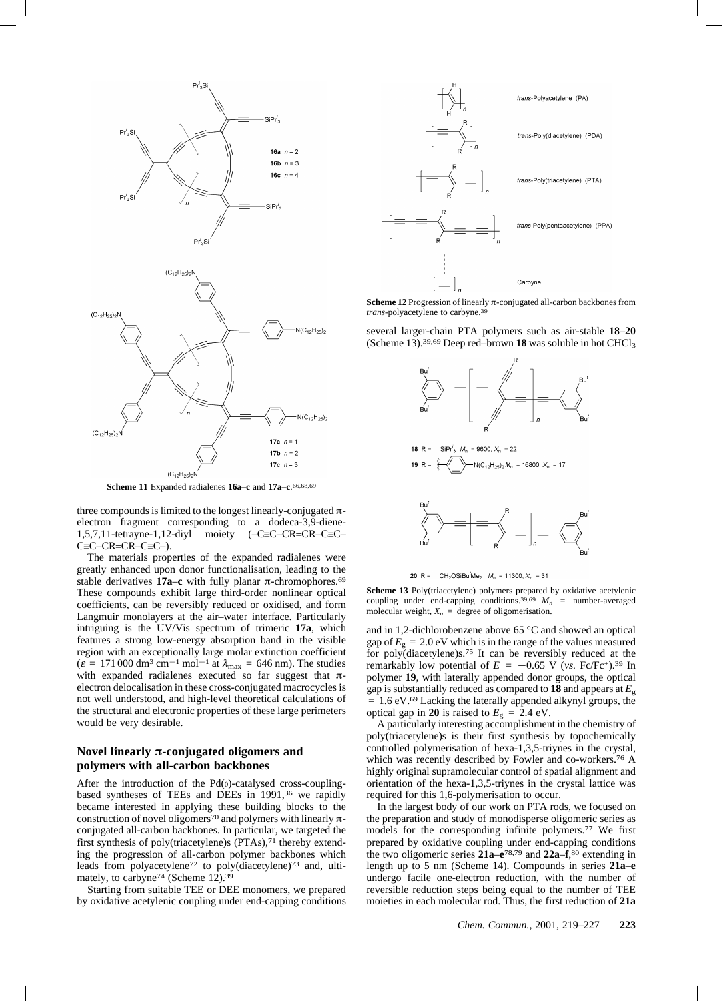

**Scheme 11** Expanded radialenes **16a**–**c** and **17a**–**c**. 66,68,69

three compounds is limited to the longest linearly-conjugated  $\pi$ electron fragment corresponding to a dodeca-3,9-diene- $1,5,7,11$ -tetrayne-1,12-diyl moiety  $(-C\equiv C-CRC-C\equiv C-C)$  $C=C-CR=CR-C\equiv C-$ ).

The materials properties of the expanded radialenes were greatly enhanced upon donor functionalisation, leading to the stable derivatives **17a–c** with fully planar  $\pi$ -chromophores.<sup>69</sup> These compounds exhibit large third-order nonlinear optical coefficients, can be reversibly reduced or oxidised, and form Langmuir monolayers at the air–water interface. Particularly intriguing is the UV/Vis spectrum of trimeric **17a**, which features a strong low-energy absorption band in the visible region with an exceptionally large molar extinction coefficient  $(\varepsilon = 171\,000\,\text{dm}^3\,\text{cm}^{-1}\,\text{mol}^{-1}$  at  $\lambda_{\text{max}} = 646\,\text{nm}$ ). The studies with expanded radialenes executed so far suggest that  $\pi$ electron delocalisation in these cross-conjugated macrocycles is not well understood, and high-level theoretical calculations of the structural and electronic properties of these large perimeters would be very desirable.

## **Novel linearly**  $\pi$ **-conjugated oligomers and polymers with all-carbon backbones**

After the introduction of the Pd(0)-catalysed cross-couplingbased syntheses of TEEs and DEEs in 1991,36 we rapidly became interested in applying these building blocks to the construction of novel oligomers<sup>70</sup> and polymers with linearly  $\pi$ conjugated all-carbon backbones. In particular, we targeted the first synthesis of poly(triacetylene)s (PTAs),<sup>71</sup> thereby extending the progression of all-carbon polymer backbones which leads from polyacetylene72 to poly(diacetylene)73 and, ultimately, to carbyne<sup>74</sup> (Scheme 12).<sup>39</sup>

Starting from suitable TEE or DEE monomers, we prepared by oxidative acetylenic coupling under end-capping conditions



**Scheme 12** Progression of linearly  $\pi$ -conjugated all-carbon backbones from *trans*-polyacetylene to carbyne.39

several larger-chain PTA polymers such as air-stable **18**–**20** (Scheme 13).39,69 Deep red–brown **18** was soluble in hot CHCl3



20 R =  $CH_2OSiBu^tMe_2$   $M_n = 11300, X_n = 31$ 

**Scheme 13** Poly(triacetylene) polymers prepared by oxidative acetylenic coupling under end-capping conditions.<sup>39,69</sup>  $M_n$  = number-averaged molecular weight,  $X_n$  = degree of oligomerisation.

and in 1,2-dichlorobenzene above 65 °C and showed an optical gap of  $E<sub>g</sub> = 2.0$  eV which is in the range of the values measured for poly(diacetylene)s.75 It can be reversibly reduced at the remarkably low potential of  $E = -0.65$  V (*vs.* Fc/Fc<sup>+</sup>).<sup>39</sup> In polymer **19**, with laterally appended donor groups, the optical gap is substantially reduced as compared to **18** and appears at *E*<sup>g</sup> = 1.6 eV.69 Lacking the laterally appended alkynyl groups, the optical gap in **20** is raised to  $E<sub>g</sub> = 2.4$  eV.

A particularly interesting accomplishment in the chemistry of poly(triacetylene)s is their first synthesis by topochemically controlled polymerisation of hexa-1,3,5-triynes in the crystal, which was recently described by Fowler and co-workers.76 A highly original supramolecular control of spatial alignment and orientation of the hexa-1,3,5-triynes in the crystal lattice was required for this 1,6-polymerisation to occur.

In the largest body of our work on PTA rods, we focused on the preparation and study of monodisperse oligomeric series as models for the corresponding infinite polymers.77 We first prepared by oxidative coupling under end-capping conditions the two oligomeric series **21a**–**e**78,79 and **22a**–**f**,80 extending in length up to 5 nm (Scheme 14). Compounds in series **21a**–**e** undergo facile one-electron reduction, with the number of reversible reduction steps being equal to the number of TEE moieties in each molecular rod. Thus, the first reduction of **21a**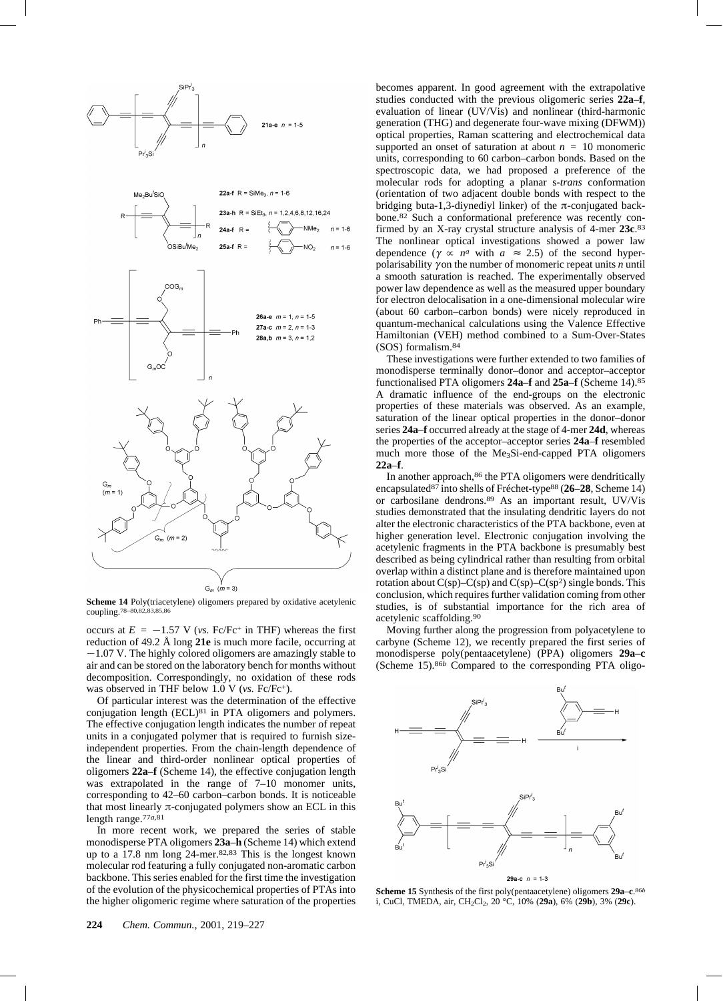

**Scheme 14** Poly(triacetylene) oligomers prepared by oxidative acetylenic coupling.78–80,82,83,85,86

occurs at  $E = -1.57$  V (*vs.* Fc/Fc<sup>+</sup> in THF) whereas the first reduction of 49.2 Å long **21e** is much more facile, occurring at  $-1.07$  V. The highly colored oligomers are amazingly stable to air and can be stored on the laboratory bench for months without decomposition. Correspondingly, no oxidation of these rods was observed in THF below 1.0 V (*vs.* Fc/Fc+).

Of particular interest was the determination of the effective conjugation length (ECL)81 in PTA oligomers and polymers. The effective conjugation length indicates the number of repeat units in a conjugated polymer that is required to furnish sizeindependent properties. From the chain-length dependence of the linear and third-order nonlinear optical properties of oligomers **22a**–**f** (Scheme 14), the effective conjugation length was extrapolated in the range of 7–10 monomer units, corresponding to 42–60 carbon–carbon bonds. It is noticeable that most linearly  $\pi$ -conjugated polymers show an ECL in this length range.77*a*,81

In more recent work, we prepared the series of stable monodisperse PTA oligomers **23a**–**h** (Scheme 14) which extend up to a 17.8 nm long 24-mer.82,83 This is the longest known molecular rod featuring a fully conjugated non-aromatic carbon backbone. This series enabled for the first time the investigation of the evolution of the physicochemical properties of PTAs into the higher oligomeric regime where saturation of the properties becomes apparent. In good agreement with the extrapolative studies conducted with the previous oligomeric series **22a**–**f**, evaluation of linear (UV/Vis) and nonlinear (third-harmonic generation (THG) and degenerate four-wave mixing (DFWM)) optical properties, Raman scattering and electrochemical data supported an onset of saturation at about  $n = 10$  monomeric units, corresponding to 60 carbon–carbon bonds. Based on the spectroscopic data, we had proposed a preference of the molecular rods for adopting a planar s-*trans* conformation (orientation of two adjacent double bonds with respect to the bridging buta-1,3-diynediyl linker) of the  $\pi$ -conjugated backbone.82 Such a conformational preference was recently confirmed by an X-ray crystal structure analysis of 4-mer **23c**.83 The nonlinear optical investigations showed a power law dependence ( $\gamma \propto n^a$  with  $a \approx 2.5$ ) of the second hyperpolarisability  $\gamma$  on the number of monomeric repeat units  $n$  until a smooth saturation is reached. The experimentally observed power law dependence as well as the measured upper boundary for electron delocalisation in a one-dimensional molecular wire (about 60 carbon–carbon bonds) were nicely reproduced in quantum-mechanical calculations using the Valence Effective Hamiltonian (VEH) method combined to a Sum-Over-States (SOS) formalism.84

These investigations were further extended to two families of monodisperse terminally donor–donor and acceptor–acceptor functionalised PTA oligomers **24a**–**f** and **25a**–**f** (Scheme 14).85 A dramatic influence of the end-groups on the electronic properties of these materials was observed. As an example, saturation of the linear optical properties in the donor–donor series **24a**–**f** occurred already at the stage of 4-mer **24d**, whereas the properties of the acceptor–acceptor series **24a**–**f** resembled much more those of the Me3Si-end-capped PTA oligomers **22a**–**f**.

In another approach,<sup>86</sup> the PTA oligomers were dendritically encapsulated87 into shells of Fréchet-type88 (**26**–**28**, Scheme 14) or carbosilane dendrons.89 As an important result, UV/Vis studies demonstrated that the insulating dendritic layers do not alter the electronic characteristics of the PTA backbone, even at higher generation level. Electronic conjugation involving the acetylenic fragments in the PTA backbone is presumably best described as being cylindrical rather than resulting from orbital overlap within a distinct plane and is therefore maintained upon rotation about  $C(sp)$ – $C(sp)$  and  $C(sp)$ – $C(sp^2)$  single bonds. This conclusion, which requires further validation coming from other studies, is of substantial importance for the rich area of acetylenic scaffolding.90

Moving further along the progression from polyacetylene to carbyne (Scheme 12), we recently prepared the first series of monodisperse poly(pentaacetylene) (PPA) oligomers **29a**–**c** (Scheme 15).86*b* Compared to the corresponding PTA oligo-



**Scheme 15** Synthesis of the first poly(pentaacetylene) oligomers **29a**–**c**. 86*b* i, CuCl, TMEDA, air, CH2Cl2, 20 °C, 10% (**29a**), 6% (**29b**), 3% (**29c**).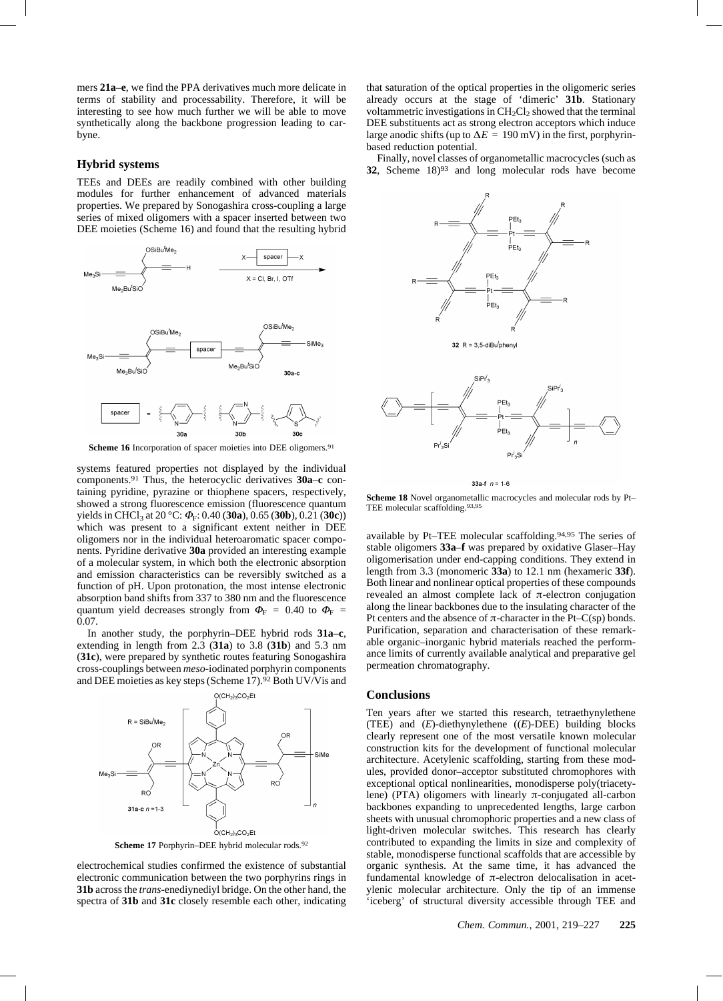mers **21a**–**e**, we find the PPA derivatives much more delicate in terms of stability and processability. Therefore, it will be interesting to see how much further we will be able to move synthetically along the backbone progression leading to carbyne.

#### **Hybrid systems**

TEEs and DEEs are readily combined with other building modules for further enhancement of advanced materials properties. We prepared by Sonogashira cross-coupling a large series of mixed oligomers with a spacer inserted between two DEE moieties (Scheme 16) and found that the resulting hybrid



Scheme 16 Incorporation of spacer moieties into DEE oligomers.<sup>91</sup>

systems featured properties not displayed by the individual components.91 Thus, the heterocyclic derivatives **30a**–**c** containing pyridine, pyrazine or thiophene spacers, respectively, showed a strong fluorescence emission (fluorescence quantum yields in CHCl<sub>3</sub> at 20 °C:  $\Phi$ <sub>F</sub>: 0.40 (**30a**), 0.65 (**30b**), 0.21 (**30c**)) which was present to a significant extent neither in DEE oligomers nor in the individual heteroaromatic spacer components. Pyridine derivative **30a** provided an interesting example of a molecular system, in which both the electronic absorption and emission characteristics can be reversibly switched as a function of pH. Upon protonation, the most intense electronic absorption band shifts from 337 to 380 nm and the fluorescence quantum yield decreases strongly from  $\Phi_F = 0.40$  to  $\Phi_F =$ 0.07.

In another study, the porphyrin–DEE hybrid rods **31a**–**c**, extending in length from 2.3 (**31a**) to 3.8 (**31b**) and 5.3 nm (**31c**), were prepared by synthetic routes featuring Sonogashira cross-couplings between *meso*-iodinated porphyrin components and DEE moieties as key steps (Scheme  $17$ ).<sup>92</sup> Both UV/Vis and



Scheme 17 Porphyrin–DEE hybrid molecular rods.<sup>92</sup>

electrochemical studies confirmed the existence of substantial electronic communication between the two porphyrins rings in **31b** across the *trans*-enediynediyl bridge. On the other hand, the spectra of **31b** and **31c** closely resemble each other, indicating

that saturation of the optical properties in the oligomeric series already occurs at the stage of 'dimeric' **31b**. Stationary voltammetric investigations in  $CH<sub>2</sub>Cl<sub>2</sub>$  showed that the terminal DEE substituents act as strong electron acceptors which induce large anodic shifts (up to  $\Delta E = 190$  mV) in the first, porphyrinbased reduction potential.

Finally, novel classes of organometallic macrocycles (such as **32**, Scheme 18)93 and long molecular rods have become



33a-f  $n = 1-6$ 

**Scheme 18** Novel organometallic macrocycles and molecular rods by Pt– TEE molecular scaffolding.93,95

available by Pt–TEE molecular scaffolding.94,95 The series of stable oligomers **33a**–**f** was prepared by oxidative Glaser–Hay oligomerisation under end-capping conditions. They extend in length from 3.3 (monomeric **33a**) to 12.1 nm (hexameric **33f**). Both linear and nonlinear optical properties of these compounds revealed an almost complete lack of  $\pi$ -electron conjugation along the linear backbones due to the insulating character of the Pt centers and the absence of  $\pi$ -character in the Pt–C(sp) bonds. Purification, separation and characterisation of these remarkable organic–inorganic hybrid materials reached the performance limits of currently available analytical and preparative gel permeation chromatography.

## **Conclusions**

Ten years after we started this research, tetraethynylethene (TEE) and (*E*)-diethynylethene ((*E*)-DEE) building blocks clearly represent one of the most versatile known molecular construction kits for the development of functional molecular architecture. Acetylenic scaffolding, starting from these modules, provided donor–acceptor substituted chromophores with exceptional optical nonlinearities, monodisperse poly(triacetylene) (PTA) oligomers with linearly  $\pi$ -conjugated all-carbon backbones expanding to unprecedented lengths, large carbon sheets with unusual chromophoric properties and a new class of light-driven molecular switches. This research has clearly contributed to expanding the limits in size and complexity of stable, monodisperse functional scaffolds that are accessible by organic synthesis. At the same time, it has advanced the fundamental knowledge of  $\pi$ -electron delocalisation in acetylenic molecular architecture. Only the tip of an immense 'iceberg' of structural diversity accessible through TEE and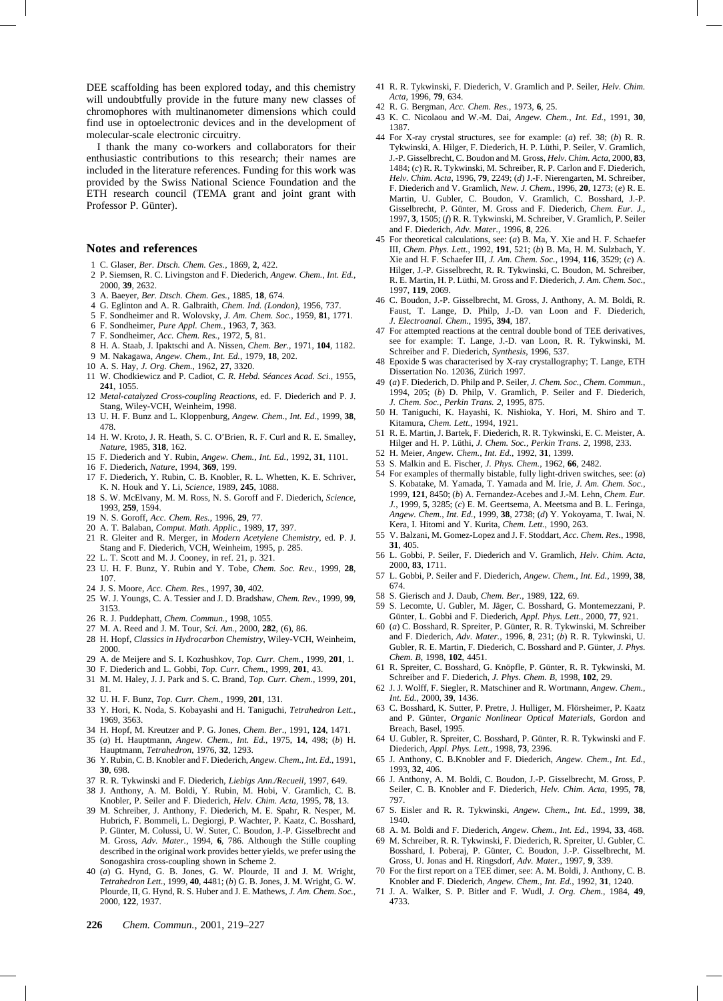DEE scaffolding has been explored today, and this chemistry will undoubtfully provide in the future many new classes of chromophores with multinanometer dimensions which could find use in optoelectronic devices and in the development of molecular-scale electronic circuitry.

I thank the many co-workers and collaborators for their enthusiastic contributions to this research; their names are included in the literature references. Funding for this work was provided by the Swiss National Science Foundation and the ETH research council (TEMA grant and joint grant with Professor P. Günter).

#### **Notes and references**

- 1 C. Glaser, *Ber. Dtsch. Chem. Ges.*, 1869, **2**, 422.
- 2 P. Siemsen, R. C. Livingston and F. Diederich, *Angew. Chem., Int. Ed.*, 2000, **39**, 2632.
- 3 A. Baeyer, *Ber. Dtsch. Chem. Ges.*, 1885, **18**, 674.
- 4 G. Eglinton and A. R. Galbraith, *Chem. Ind. (London)*, 1956, 737.
- 5 F. Sondheimer and R. Wolovsky, *J. Am. Chem. Soc.*, 1959, **81**, 1771.
- 6 F. Sondheimer, *Pure Appl. Chem.*, 1963, **7**, 363.
- 7 F. Sondheimer, *Acc. Chem. Res.*, 1972, **5**, 81.
- 8 H. A. Staab, J. Ipaktschi and A. Nissen, *Chem. Ber.*, 1971, **104**, 1182.
- 9 M. Nakagawa, *Angew. Chem., Int. Ed.*, 1979, **18**, 202.
- 10 A. S. Hay, *J. Org. Chem.*, 1962, **27**, 3320.
- 11 W. Chodkiewicz and P. Cadiot, *C. R. Hebd. Séances Acad. Sci.*, 1955, **241**, 1055.
- 12 *Metal-catalyzed Cross-coupling Reactions*, ed. F. Diederich and P. J. Stang, Wiley-VCH, Weinheim, 1998.
- 13 U. H. F. Bunz and L. Kloppenburg, *Angew. Chem., Int. Ed.*, 1999, **38**, 478.
- 14 H. W. Kroto, J. R. Heath, S. C. O'Brien, R. F. Curl and R. E. Smalley, *Nature*, 1985, **318**, 162.
- 15 F. Diederich and Y. Rubin, *Angew. Chem., Int. Ed.*, 1992, **31**, 1101.
- 16 F. Diederich, *Nature*, 1994, **369**, 199.
- 17 F. Diederich, Y. Rubin, C. B. Knobler, R. L. Whetten, K. E. Schriver, K. N. Houk and Y. Li, *Science*, 1989, **245**, 1088.
- 18 S. W. McElvany, M. M. Ross, N. S. Goroff and F. Diederich, *Science*, 1993, **259**, 1594.
- 19 N. S. Goroff, *Acc. Chem. Res.*, 1996, **29**, 77.
- 20 A. T. Balaban, *Comput. Math. Applic.*, 1989, **17**, 397.
- 21 R. Gleiter and R. Merger, in *Modern Acetylene Chemistry*, ed. P. J. Stang and F. Diederich, VCH, Weinheim, 1995, p. 285.
- 22 L. T. Scott and M. J. Cooney, in ref. 21, p. 321.
- 23 U. H. F. Bunz, Y. Rubin and Y. Tobe, *Chem. Soc. Rev.*, 1999, **28**, 107.
- 24 J. S. Moore, *Acc. Chem. Res.*, 1997, **30**, 402.
- 25 W. J. Youngs, C. A. Tessier and J. D. Bradshaw, *Chem. Rev.*, 1999, **99**, 3153.
- 26 R. J. Puddephatt, *Chem. Commun.*, 1998, 1055.
- 27 M. A. Reed and J. M. Tour, *Sci. Am.*, 2000, **282**, (6), 86.
- 28 H. Hopf, *Classics in Hydrocarbon Chemistry*, Wiley-VCH, Weinheim, 2000.
- 29 A. de Meijere and S. I. Kozhushkov, *Top. Curr. Chem.*, 1999, **201**, 1.
- 30 F. Diederich and L. Gobbi, *Top. Curr. Chem.*, 1999, **201**, 43.
- 31 M. M. Haley, J. J. Park and S. C. Brand, *Top. Curr. Chem.*, 1999, **201**, 81.
- 32 U. H. F. Bunz, *Top. Curr. Chem.*, 1999, **201**, 131.
- 33 Y. Hori, K. Noda, S. Kobayashi and H. Taniguchi, *Tetrahedron Lett.*, 1969, 3563.
- 34 H. Hopf, M. Kreutzer and P. G. Jones, *Chem. Ber.*, 1991, **124**, 1471.
- 35 (*a*) H. Hauptmann, *Angew. Chem., Int. Ed.*, 1975, **14**, 498; (*b*) H. Hauptmann, *Tetrahedron*, 1976, **32**, 1293.
- 36 Y. Rubin, C. B. Knobler and F. Diederich, *Angew. Chem., Int. Ed.*, 1991, **30**, 698.
- 37 R. R. Tykwinski and F. Diederich, *Liebigs Ann./Recueil*, 1997, 649.
- 38 J. Anthony, A. M. Boldi, Y. Rubin, M. Hobi, V. Gramlich, C. B. Knobler, P. Seiler and F. Diederich, *Helv. Chim. Acta*, 1995, **78**, 13.
- 39 M. Schreiber, J. Anthony, F. Diederich, M. E. Spahr, R. Nesper, M. Hubrich, F. Bommeli, L. Degiorgi, P. Wachter, P. Kaatz, C. Bosshard, P. Günter, M. Colussi, U. W. Suter, C. Boudon, J.-P. Gisselbrecht and M. Gross, *Adv. Mater.*, 1994, **6**, 786. Although the Stille coupling described in the original work provides better yields, we prefer using the Sonogashira cross-coupling shown in Scheme 2.
- 40 (*a*) G. Hynd, G. B. Jones, G. W. Plourde, II and J. M. Wright, *Tetrahedron Lett.*, 1999, **40**, 4481; (*b*) G. B. Jones, J. M. Wright, G. W. Plourde, II, G. Hynd, R. S. Huber and J. E. Mathews, *J. Am. Chem. Soc.*, 2000, **122**, 1937.
- 41 R. R. Tykwinski, F. Diederich, V. Gramlich and P. Seiler, *Helv. Chim. Acta*, 1996, **79**, 634.
- 42 R. G. Bergman, *Acc. Chem. Res.*, 1973, **6**, 25.
- 43 K. C. Nicolaou and W.-M. Dai, *Angew. Chem., Int. Ed.*, 1991, **30**, 1387.
- 44 For X-ray crystal structures, see for example: (*a*) ref. 38; (*b*) R. R. Tykwinski, A. Hilger, F. Diederich, H. P. Lüthi, P. Seiler, V. Gramlich, J.-P. Gisselbrecht, C. Boudon and M. Gross, *Helv. Chim. Acta*, 2000, **83**, 1484; (*c*) R. R. Tykwinski, M. Schreiber, R. P. Carlon and F. Diederich, *Helv. Chim. Acta*, 1996, **79**, 2249; (*d*) J.-F. Nierengarten, M. Schreiber, F. Diederich and V. Gramlich, *New. J. Chem.*, 1996, **20**, 1273; (*e*) R. E. Martin, U. Gubler, C. Boudon, V. Gramlich, C. Bosshard, J.-P. Gisselbrecht, P. Günter, M. Gross and F. Diederich, *Chem. Eur. J.*, 1997, **3**, 1505; (*f*) R. R. Tykwinski, M. Schreiber, V. Gramlich, P. Seiler and F. Diederich, *Adv. Mater.*, 1996, **8**, 226.
- 45 For theoretical calculations, see: (*a*) B. Ma, Y. Xie and H. F. Schaefer III, *Chem. Phys. Lett.*, 1992, **191**, 521; (*b*) B. Ma, H. M. Sulzbach, Y. Xie and H. F. Schaefer III, *J. Am. Chem. Soc.*, 1994, **116**, 3529; (*c*) A. Hilger, J.-P. Gisselbrecht, R. R. Tykwinski, C. Boudon, M. Schreiber, R. E. Martin, H. P. Lüthi, M. Gross and F. Diederich, *J. Am. Chem. Soc.*, 1997, **119**, 2069.
- 46 C. Boudon, J.-P. Gisselbrecht, M. Gross, J. Anthony, A. M. Boldi, R. Faust, T. Lange, D. Philp, J.-D. van Loon and F. Diederich, *J. Electroanal. Chem.*, 1995, **394**, 187.
- 47 For attempted reactions at the central double bond of TEE derivatives, see for example: T. Lange, J.-D. van Loon, R. R. Tykwinski, M. Schreiber and F. Diederich, *Synthesis*, 1996, 537.
- 48 Epoxide **5** was characterised by X-ray crystallography; T. Lange, ETH Dissertation No. 12036, Zürich 1997.
- 49 (*a*) F. Diederich, D. Philp and P. Seiler, *J. Chem. Soc., Chem. Commun.*, 1994, 205; (*b*) D. Philp, V. Gramlich, P. Seiler and F. Diederich, *J. Chem. Soc., Perkin Trans. 2*, 1995, 875.
- 50 H. Taniguchi, K. Hayashi, K. Nishioka, Y. Hori, M. Shiro and T. Kitamura, *Chem. Lett.*, 1994, 1921.
- 51 R. E. Martin, J. Bartek, F. Diederich, R. R. Tykwinski, E. C. Meister, A. Hilger and H. P. Lüthi, *J. Chem. Soc., Perkin Trans. 2*, 1998, 233.
- 52 H. Meier, *Angew. Chem., Int. Ed.*, 1992, **31**, 1399.
- 53 S. Malkin and E. Fischer, *J. Phys. Chem.*, 1962, **66**, 2482.
- 54 For examples of thermally bistable, fully light-driven switches, see: (*a*) S. Kobatake, M. Yamada, T. Yamada and M. Irie, *J. Am. Chem. Soc.*, 1999, **121**, 8450; (*b*) A. Fernandez-Acebes and J.-M. Lehn, *Chem. Eur. J.*, 1999, **5**, 3285; (*c*) E. M. Geertsema, A. Meetsma and B. L. Feringa, *Angew. Chem., Int. Ed.*, 1999, **38**, 2738; (*d*) Y. Yokoyama, T. Iwai, N. Kera, I. Hitomi and Y. Kurita, *Chem. Lett.*, 1990, 263.
- 55 V. Balzani, M. Gomez-Lopez and J. F. Stoddart, *Acc. Chem. Res.*, 1998, **31**, 405.
- 56 L. Gobbi, P. Seiler, F. Diederich and V. Gramlich, *Helv. Chim. Acta*, 2000, **83**, 1711.
- 57 L. Gobbi, P. Seiler and F. Diederich, *Angew. Chem., Int. Ed.*, 1999, **38**, 674.
- 58 S. Gierisch and J. Daub, *Chem. Ber.*, 1989, **122**, 69.
- 59 S. Lecomte, U. Gubler, M. Jäger, C. Bosshard, G. Montemezzani, P. Günter, L. Gobbi and F. Diederich, *Appl. Phys. Lett.*, 2000, **77**, 921.
- 60 (*a*) C. Bosshard, R. Spreiter, P. Günter, R. R. Tykwinski, M. Schreiber and F. Diederich, *Adv. Mater.*, 1996, **8**, 231; (*b*) R. R. Tykwinski, U. Gubler, R. E. Martin, F. Diederich, C. Bosshard and P. Günter, *J. Phys. Chem. B*, 1998, **102**, 4451.
- 61 R. Spreiter, C. Bosshard, G. Knöpfle, P. Günter, R. R. Tykwinski, M. Schreiber and F. Diederich, *J. Phys. Chem. B*, 1998, **102**, 29.
- 62 J. J. Wolff, F. Siegler, R. Matschiner and R. Wortmann, *Angew. Chem., Int. Ed.*, 2000, **39**, 1436.
- 63 C. Bosshard, K. Sutter, P. Pretre, J. Hulliger, M. Flörsheimer, P. Kaatz and P. Günter, *Organic Nonlinear Optical Materials*, Gordon and Breach, Basel, 1995.
- 64 U. Gubler, R. Spreiter, C. Bosshard, P. Günter, R. R. Tykwinski and F. Diederich, *Appl. Phys. Lett.*, 1998, **73**, 2396.
- 65 J. Anthony, C. B.Knobler and F. Diederich, *Angew. Chem., Int. Ed.*, 1993, **32**, 406.
- 66 J. Anthony, A. M. Boldi, C. Boudon, J.-P. Gisselbrecht, M. Gross, P. Seiler, C. B. Knobler and F. Diederich, *Helv. Chim. Acta*, 1995, **78**, 797.
- 67 S. Eisler and R. R. Tykwinski, *Angew. Chem., Int. Ed.*, 1999, **38**, 1940.
- 68 A. M. Boldi and F. Diederich, *Angew. Chem., Int. Ed.*, 1994, **33**, 468.
- 69 M. Schreiber, R. R. Tykwinski, F. Diederich, R. Spreiter, U. Gubler, C. Bosshard, I. Poberaj, P. Günter, C. Boudon, J.-P. Gisselbrecht, M. Gross, U. Jonas and H. Ringsdorf, *Adv. Mater.*, 1997, **9**, 339.
- 70 For the first report on a TEE dimer, see: A. M. Boldi, J. Anthony, C. B. Knobler and F. Diederich, *Angew. Chem., Int. Ed.*, 1992, **31**, 1240.
- 71 J. A. Walker, S. P. Bitler and F. Wudl, *J. Org. Chem.*, 1984, **49**, 4733.